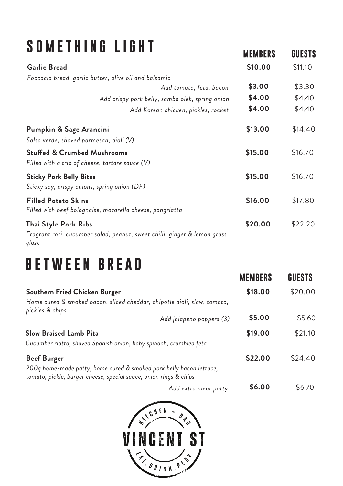### **SOM ETHIN G LIGHT**

| <b>Garlic Bread</b>                                                                     | \$10.00 | \$11.10 |
|-----------------------------------------------------------------------------------------|---------|---------|
| Foccacia bread, garlic butter, olive oil and balsamic                                   |         |         |
| Add tomato, feta, bacon                                                                 | \$3.00  | \$3.30  |
| Add crispy pork belly, samba olek, spring onion                                         | \$4.00  | \$4.40  |
| Add Korean chicken, pickles, rocket                                                     | \$4.00  | \$4.40  |
| Pumpkin & Sage Arancini                                                                 | \$13.00 | \$14.40 |
| Salsa verde, shaved parmesan, aioli (V)                                                 |         |         |
| <b>Stuffed &amp; Crumbed Mushrooms</b>                                                  | \$15.00 | \$16.70 |
| Filled with a trio of cheese, tartare sauce $(V)$                                       |         |         |
| <b>Sticky Pork Belly Bites</b>                                                          | \$15.00 | \$16.70 |
| Sticky soy, crispy onions, spring onion (DF)                                            |         |         |
| <b>Filled Potato Skins</b><br>Filled with beef bolognaise, mozarella cheese, pangriatta | \$16.00 | \$17.80 |
| Thai Style Pork Ribs                                                                    | \$20.00 | \$22.20 |
| Fragrant roti, cucumber salad, peanut, sweet chilli, ginger & lemon grass<br>glaze      |         |         |

**MEMBERS**

**GUESTS**

#### **BETWEEN BREAD**

|                                                                                                                                          |                          | <b>MEMBERS</b> | GUESTS  |
|------------------------------------------------------------------------------------------------------------------------------------------|--------------------------|----------------|---------|
| Southern Fried Chicken Burger                                                                                                            |                          | \$18.00        | \$20.00 |
| Home cured & smoked bacon, sliced cheddar, chipotle aioli, slaw, tomato,<br>pickles & chips                                              |                          |                |         |
|                                                                                                                                          | Add jalapeno poppers (3) | \$5.00         | \$5.60  |
| <b>Slow Braised Lamb Pita</b>                                                                                                            |                          | \$19.00        | \$21.10 |
| Cucumber riatta, shaved Spanish onion, baby spinach, crumbled feta                                                                       |                          |                |         |
| <b>Beef Burger</b>                                                                                                                       |                          | \$22.00        | \$24.40 |
| 200g home-made patty, home cured & smoked pork belly bacon lettuce,<br>tomato, pickle, burger cheese, special sauce, onion rings & chips |                          |                |         |
|                                                                                                                                          | Add extra meat patty     | \$6.00         | \$6.70  |

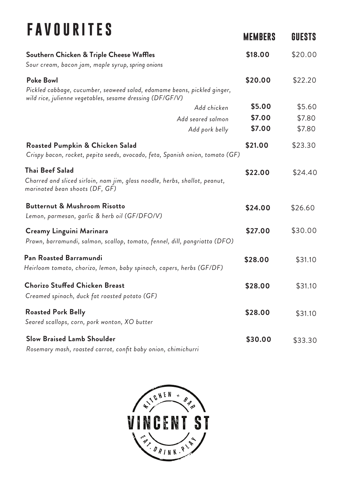# **F A V O U RITE S**

| I A V U U I\ I I L U                                                                                                                   | <b>MEMBERS</b> | GUESTS  |
|----------------------------------------------------------------------------------------------------------------------------------------|----------------|---------|
| Southern Chicken & Triple Cheese Waffles                                                                                               | \$18.00        | \$20.00 |
| Sour cream, bacon jam, maple syrup, spring onions                                                                                      |                |         |
| <b>Poke Bowl</b><br>Pickled cabbage, cucumber, seaweed salad, edamame beans, pickled ginger,                                           | \$20.00        | \$22.20 |
| wild rice, julienne vegetables, sesame dressing (DF/GF/V)<br>Add chicken                                                               | \$5.00         | \$5.60  |
|                                                                                                                                        | \$7.00         | \$7.80  |
| Add seared salmon<br>Add pork belly                                                                                                    | \$7.00         | \$7.80  |
| <b>Roasted Pumpkin &amp; Chicken Salad</b><br>Crispy bacon, rocket, pepita seeds, avocado, feta, Spanish onion, tomato (GF)            | \$21.00        | \$23.30 |
| <b>Thai Beef Salad</b><br>Charred and sliced sirloin, nam jim, glass noodle, herbs, shallot, peanut,<br>marinated bean shoots (DF, GF) | \$22.00        | \$24.40 |
| <b>Butternut &amp; Mushroom Risotto</b><br>Lemon, parmesan, garlic & herb oil (GF/DFO/V)                                               | \$24.00        | \$26.60 |
| Creamy Linguini Marinara<br>Prawn, barramundi, salmon, scallop, tomato, fennel, dill, pangriatta (DFO)                                 | \$27.00        | \$30.00 |
| Pan Roasted Barramundi<br>Heirloom tomato, chorizo, lemon, baby spinach, capers, herbs (GF/DF)                                         | \$28.00        | \$31.10 |
| <b>Chorizo Stuffed Chicken Breast</b><br>Creamed spinach, duck fat roasted potato (GF)                                                 | \$28.00        | \$31.10 |
| <b>Roasted Pork Belly</b><br>Seared scallops, corn, pork wonton, XO butter                                                             | \$28.00        | \$31.10 |
| <b>Slow Braised Lamb Shoulder</b><br>Rosemary mash, roasted carrot, confit baby onion, chimichurri                                     | \$30.00        | \$33.30 |

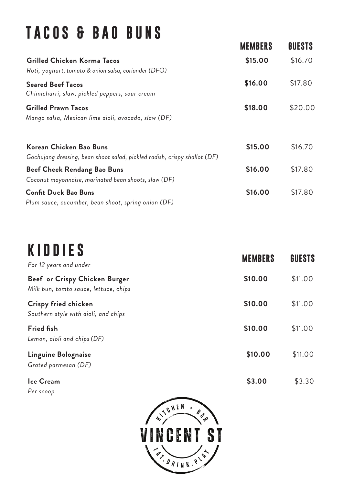#### **TACOS & B A O B U N S**

| <b>MEMBERS</b> | GUESTS  |
|----------------|---------|
| \$15.00        | \$16.70 |
| \$16.00        | \$17.80 |
| \$18.00        | \$20.00 |
| \$15.00        | \$16.70 |
| \$16.00        | \$17.80 |
| \$16.00        | \$17.80 |
|                |         |

# **K I D D I E S**

| . . <i>. .</i><br>For 12 years and under                               | <b>MEMBERS</b> | <b>GUESTS</b> |
|------------------------------------------------------------------------|----------------|---------------|
| Beef or Crispy Chicken Burger<br>Milk bun, tomto sauce, lettuce, chips | \$10.00        | \$11.00       |
| Crispy fried chicken<br>Southern style with aioli, and chips           | \$10.00        | \$11.00       |
| <b>Fried fish</b><br>Lemon, aioli and chips (DF)                       | \$10.00        | \$11.00       |
| Linguine Bolognaise<br>Grated parmesan (DF)                            | \$10.00        | \$11.00       |
| Ice Cream                                                              | \$3.00         | \$3.30        |

*Per scoop*

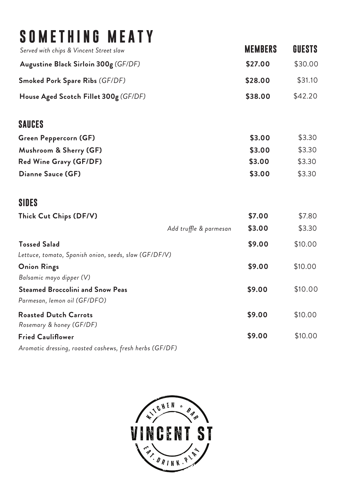#### **SOMETHING MEATY**

| Served with chips & Vincent Street slaw | <b>MEMBERS</b> | GUESTS  |
|-----------------------------------------|----------------|---------|
| Augustine Black Sirloin 300g (GF/DF)    | \$27.00        | \$30.00 |
| <b>Smoked Pork Spare Ribs (GF/DF)</b>   | \$28.00        | \$31.10 |
| House Aged Scotch Fillet 300g (GF/DF)   | \$38.00        | \$42.20 |
| <b>SAUCES</b>                           |                |         |
| Green Peppercorn (GF)                   | \$3.00         | \$3.30  |

|                               |        | v      |
|-------------------------------|--------|--------|
| Mushroom & Sherry (GF)        | \$3.00 | \$3.30 |
| <b>Red Wine Gravy (GF/DF)</b> | \$3.00 | \$3.30 |
| Dianne Sauce (GF)             | \$3.00 | \$3.30 |
|                               |        |        |

#### **SIDES**

| Thick Cut Chips (DF/V)                                |                        | \$7.00 | \$7.80  |
|-------------------------------------------------------|------------------------|--------|---------|
|                                                       | Add truffle & parmesan | \$3.00 | \$3.30  |
| <b>Tossed Salad</b>                                   |                        | \$9.00 | \$10.00 |
| Lettuce, tomato, Spanish onion, seeds, slaw (GF/DF/V) |                        |        |         |
| <b>Onion Rings</b>                                    |                        | \$9.00 | \$10.00 |
| Balsamic mayo dipper (V)                              |                        |        |         |
| <b>Steamed Broccolini and Snow Peas</b>               |                        | \$9.00 | \$10.00 |
| Parmesan, lemon oil (GF/DFO)                          |                        |        |         |
| <b>Roasted Dutch Carrots</b>                          |                        | \$9.00 | \$10.00 |
| Rosemary & honey (GF/DF)                              |                        |        |         |
| <b>Fried Cauliflower</b>                              |                        | \$9.00 | \$10.00 |
|                                                       |                        |        |         |

**Fried Cauliflower \$9.00** \$10.00 *Aromatic dressing, roasted cashews, fresh herbs (GF/DF)*

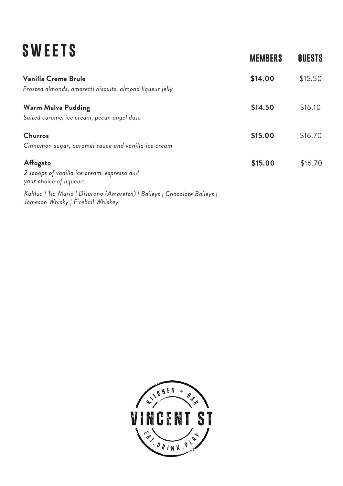| <b>SWEETS</b>                                                                                                 | <b>MEMBERS</b> | <b>GUESTS</b> |
|---------------------------------------------------------------------------------------------------------------|----------------|---------------|
| Vanilla Creme Brule<br>Frosted almonds, amaretti biscuits, almond liqueur jelly                               | \$14.00        | \$15.50       |
| <b>Warm Malva Pudding</b><br>Salted caramel ice cream, pecan angel dust                                       | \$14.50        | \$16.10       |
| <b>Churros</b><br>Cinnamon sugar, caramel sauce and vanilla ice cream                                         | \$15.00        | \$16.70       |
| Affogato<br>2 scoops of vanilla ice cream, espresso and<br>your choice of liqueur:                            | \$15.00        | \$16.70       |
| Kahlua   Tia Maria   Disarono (Amaretto)   Baileys   Chocolate Baileys  <br>Jameson Whisky   Fireball Whiskey |                |               |